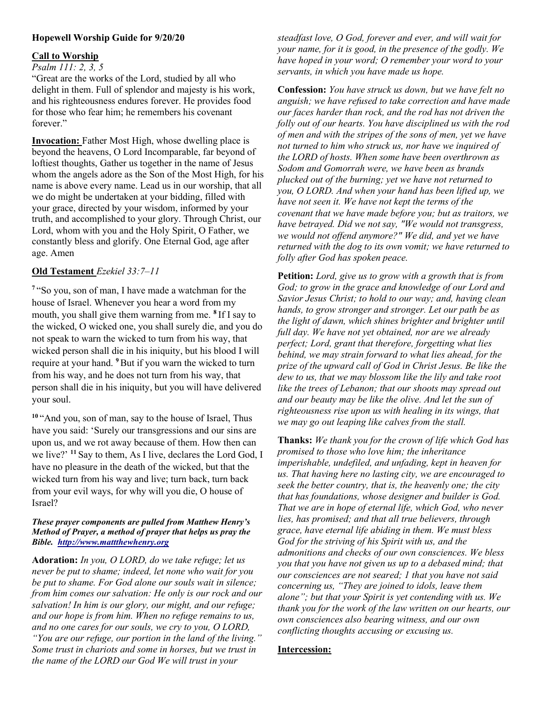## Hopewell Worship Guide for 9/20/20

### Call to Worship

#### Psalm 111: 2, 3, 5

"Great are the works of the Lord, studied by all who delight in them. Full of splendor and majesty is his work, and his righteousness endures forever. He provides food for those who fear him; he remembers his covenant forever." Î

Invocation: Father Most High, whose dwelling place is beyond the heavens, O Lord Incomparable, far beyond of loftiest thoughts, Gather us together in the name of Jesus whom the angels adore as the Son of the Most High, for his name is above every name. Lead us in our worship, that all we do might be undertaken at your bidding, filled with your grace, directed by your wisdom, informed by your truth, and accomplished to your glory. Through Christ, our Lord, whom with you and the Holy Spirit, O Father, we constantly bless and glorify. One Eternal God, age after age. Amen

### Old Testament Ezekiel 33:7–11

<sup>7</sup>"So you, son of man, I have made a watchman for the house of Israel. Whenever you hear a word from my mouth, you shall give them warning from me. <sup>8</sup> If I say to the wicked, O wicked one, you shall surely die, and you do not speak to warn the wicked to turn from his way, that wicked person shall die in his iniquity, but his blood I will require at your hand. <sup>9</sup> But if you warn the wicked to turn from his way, and he does not turn from his way, that person shall die in his iniquity, but you will have delivered your soul.

<sup>10</sup>"And you, son of man, say to the house of Israel, Thus have you said: 'Surely our transgressions and our sins are upon us, and we rot away because of them. How then can we live?' <sup>11</sup> Say to them, As I live, declares the Lord God, I have no pleasure in the death of the wicked, but that the wicked turn from his way and live; turn back, turn back from your evil ways, for why will you die, O house of Israel?

#### These prayer components are pulled from Matthew Henry's Method of Prayer, a method of prayer that helps us pray the Bible. http://www.mattthewhenry.org

Adoration: In you, O LORD, do we take refuge; let us never be put to shame; indeed, let none who wait for you be put to shame. For God alone our souls wait in silence; from him comes our salvation: He only is our rock and our salvation! In him is our glory, our might, and our refuge; and our hope is from him. When no refuge remains to us, and no one cares for our souls, we cry to you, O LORD, "You are our refuge, our portion in the land of the living." Some trust in chariots and some in horses, but we trust in the name of the LORD our God We will trust in your

steadfast love, O God, forever and ever, and will wait for your name, for it is good, in the presence of the godly. We have hoped in your word; O remember your word to your servants, in which you have made us hope.

Confession: You have struck us down, but we have felt no anguish; we have refused to take correction and have made our faces harder than rock, and the rod has not driven the folly out of our hearts. You have disciplined us with the rod of men and with the stripes of the sons of men, yet we have not turned to him who struck us, nor have we inquired of the LORD of hosts. When some have been overthrown as Sodom and Gomorrah were, we have been as brands plucked out of the burning; yet we have not returned to you, O LORD. And when your hand has been lifted up, we have not seen it. We have not kept the terms of the covenant that we have made before you; but as traitors, we have betrayed. Did we not say, "We would not transgress, we would not offend anymore?" We did, and yet we have returned with the dog to its own vomit; we have returned to folly after God has spoken peace.

Petition: Lord, give us to grow with a growth that is from God; to grow in the grace and knowledge of our Lord and Savior Jesus Christ; to hold to our way; and, having clean hands, to grow stronger and stronger. Let our path be as the light of dawn, which shines brighter and brighter until full day. We have not yet obtained, nor are we already perfect; Lord, grant that therefore, forgetting what lies behind, we may strain forward to what lies ahead, for the prize of the upward call of God in Christ Jesus. Be like the dew to us, that we may blossom like the lily and take root like the trees of Lebanon; that our shoots may spread out and our beauty may be like the olive. And let the sun of righteousness rise upon us with healing in its wings, that we may go out leaping like calves from the stall.

Thanks: We thank you for the crown of life which God has promised to those who love him; the inheritance imperishable, undefiled, and unfading, kept in heaven for us. That having here no lasting city, we are encouraged to seek the better country, that is, the heavenly one; the city that has foundations, whose designer and builder is God. That we are in hope of eternal life, which God, who never lies, has promised; and that all true believers, through grace, have eternal life abiding in them. We must bless God for the striving of his Spirit with us, and the admonitions and checks of our own consciences. We bless you that you have not given us up to a debased mind; that our consciences are not seared; 1 that you have not said concerning us, "They are joined to idols, leave them alone"; but that your Spirit is yet contending with us. We thank you for the work of the law written on our hearts, our own consciences also bearing witness, and our own conflicting thoughts accusing or excusing us.

# Intercession: